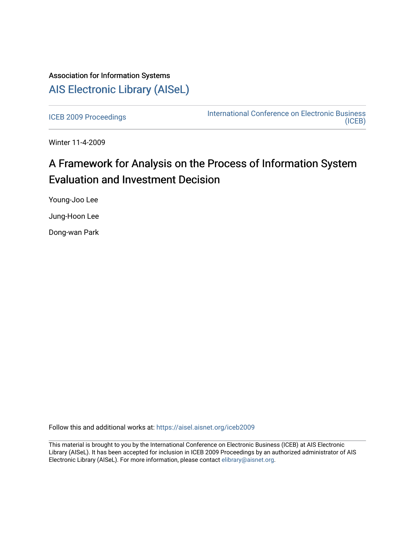## Association for Information Systems [AIS Electronic Library \(AISeL\)](https://aisel.aisnet.org/)

[ICEB 2009 Proceedings](https://aisel.aisnet.org/iceb2009) **International Conference on Electronic Business** [\(ICEB\)](https://aisel.aisnet.org/iceb) 

Winter 11-4-2009

# A Framework for Analysis on the Process of Information System Evaluation and Investment Decision

Young-Joo Lee

Jung-Hoon Lee

Dong-wan Park

Follow this and additional works at: [https://aisel.aisnet.org/iceb2009](https://aisel.aisnet.org/iceb2009?utm_source=aisel.aisnet.org%2Ficeb2009%2F58&utm_medium=PDF&utm_campaign=PDFCoverPages)

This material is brought to you by the International Conference on Electronic Business (ICEB) at AIS Electronic Library (AISeL). It has been accepted for inclusion in ICEB 2009 Proceedings by an authorized administrator of AIS Electronic Library (AISeL). For more information, please contact [elibrary@aisnet.org.](mailto:elibrary@aisnet.org%3E)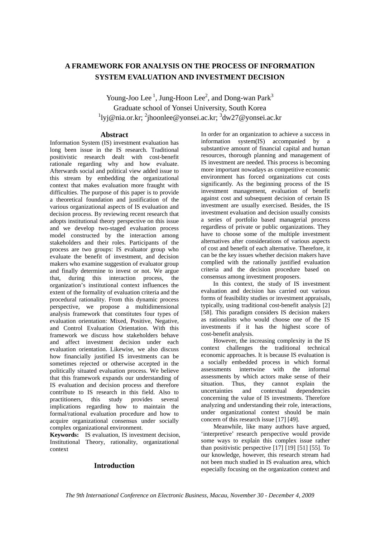### **A FRAMEWORK FOR ANALYSIS ON THE PROCESS OF INFORMATION SYSTEM EVALUATION AND INVESTMENT DECISION**

Young-Joo Lee<sup>1</sup>, Jung-Hoon Lee<sup>2</sup>, and Dong-wan Park<sup>3</sup> Graduate school of Yonsei University, South Korea <sup>1</sup>lyj@nia.or.kr; <sup>2</sup>jhoonlee@yonsei.ac.kr; <sup>3</sup>dw27@yonsei.ac.kr

#### **Abstract**

Information System (IS) investment evaluation has long been issue in the IS research. Traditional positivistic research dealt with cost-benefit rationale regarding why and how evaluate. Afterwards social and political view added issue to this stream by embedding the organizational context that makes evaluation more fraught with difficulties. The purpose of this paper is to provide a theoretical foundation and justification of the various organizational aspects of IS evaluation and decision process. By reviewing recent research that adopts institutional theory perspective on this issue and we develop two-staged evaluation process model constructed by the interaction among stakeholders and their roles. Participants of the process are two groups: IS evaluator group who evaluate the benefit of investment, and decision makers who examine suggestion of evaluator group and finally determine to invest or not. We argue that, during this interaction process, the organization's institutional context influences the extent of the formality of evaluation criteria and the procedural rationality. From this dynamic process perspective, we propose a multidimensional analysis framework that constitutes four types of evaluation orientation: Mixed, Positive, Negative, and Control Evaluation Orientation. With this framework we discuss how stakeholders behave and affect investment decision under each evaluation orientation. Likewise, we also discuss how financially justified IS investments can be sometimes rejected or otherwise accepted in the politically situated evaluation process. We believe that this framework expands our understanding of IS evaluation and decision process and therefore contribute to IS research in this field. Also to practitioners, this study provides several implications regarding how to maintain the formal/rational evaluation procedure and how to acquire organizational consensus under socially complex organizational environment.

**Keywords:** IS evaluation, IS investment decision, Institutional Theory, rationality, organizational context

#### **Introduction**

In order for an organization to achieve a success in information system(IS) accompanied by a substantive amount of financial capital and human resources, thorough planning and management of IS investment are needed. This process is becoming more important nowadays as competitive economic environment has forced organizations cut costs significantly. As the beginning process of the IS investment management, evaluation of benefit against cost and subsequent decision of certain IS investment are usually exercised. Besides, the IS investment evaluation and decision usually consists a series of portfolio based managerial process regardless of private or public organizations. They have to choose some of the multiple investment alternatives after considerations of various aspects of cost and benefit of each alternative. Therefore, it can be the key issues whether decision makers have complied with the rationally justified evaluation criteria and the decision procedure based on consensus among investment proposers.

In this context, the study of IS investment evaluation and decision has carried out various forms of feasibility studies or investment appraisals, typically, using traditional cost-benefit analysis [2] [58]. This paradigm considers IS decision makers as rationalists who would choose one of the IS investments if it has the highest score of cost-benefit analysis.

However, the increasing complexity in the IS context challenges the traditional technical economic approaches. It is because IS evaluation is a socially embedded process in which formal assessments intertwine with the informal assessments by which actors make sense of their situation. Thus, they cannot explain the uncertainties and contextual dependencies concerning the value of IS investments. Therefore analyzing and understanding their role, interactions, under organizational context should be main concern of this research issue [17] [49].

Meanwhile, like many authors have argued, 'interpretive' research perspective would provide some ways to explain this complex issue rather than positivistic perspective [17] [19] [51] [55]. To our knowledge, however, this research stream had not been much studied in IS evaluation area, which especially focusing on the organization context and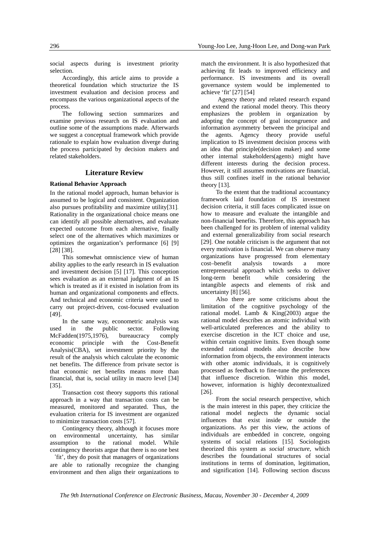social aspects during is investment priority selection.

Accordingly, this article aims to provide a theoretical foundation which structurize the IS investment evaluation and decision process and encompass the various organizational aspects of the process.

The following section summarizes and examine previous research on IS evaluation and outline some of the assumptions made. Afterwards we suggest a conceptual framework which provide rationale to explain how evaluation diverge during the process participated by decision makers and related stakeholders.

#### **Literature Review**

#### **Rational Behavior Approach**

In the rational model approach, human behavior is assumed to be logical and consistent. Organization also pursues profitability and maximize utility[31]. Rationality in the organizational choice means one can identify all possible alternatives, and evaluate expected outcome from each alternative, finally select one of the alternatives which maximizes or optimizes the organization's performance [6] [9] [28] [38].

This somewhat omniscience view of human ability applies to the early research in IS evaluation and investment decision [5] [17]. This conception sees evaluation as an external judgment of an IS which is treated as if it existed in isolation from its human and organizational components and effects. And technical and economic criteria were used to carry out project-driven, cost-focused evaluation [49].

In the same way, econometric analysis was used in the public sector. Following McFadden(1975,1976), bureaucracy comply economic principle with the Cost-Benefit Analysis(CBA), set investment priority by the result of the analysis which calculate the economic net benefits. The difference from private sector is that economic net benefits means more than financial, that is, social utility in macro level [34] [35].

Transaction cost theory supports this rational approach in a way that transaction costs can be measured, monitored and separated. Thus, the evaluation criteria for IS investment are organized to minimize transaction costs [57].

Contingency theory, although it focuses more on environmental uncertainty, has similar assumption to the rational model. While contingency theorists argue that there is no one best

`fit', they do posit that managers of organizations are able to rationally recognize the changing environment and then align their organizations to

match the environment. It is also hypothesized that achieving fit leads to improved efficiency and performance. IS investments and its overall governance system would be implemented to achieve 'fit' [27] [54]

Agency theory and related research expand and extend the rational model theory. This theory emphasizes the problem in organization by adopting the concept of goal incongruence and information asymmetry between the principal and the agents. Agency theory provide useful implication to IS investment decision process with an idea that principle(decision maker) and some other internal stakeholders(agents) might have different interests during the decision process. However, it still assumes motivations are financial, thus still confines itself in the rational behavior theory [13].

To the extent that the traditional accountancy framework laid foundation of IS investment decision criteria, it still faces complicated issue on how to measure and evaluate the intangible and non-financial benefits. Therefore, this approach has been challenged for its problem of internal validity and external generalizability from social research [29]. One notable criticism is the argument that not every motivation is financial. We can observe many organizations have progressed from elementary cost–benefit analysis towards a more entrepreneurial approach which seeks to deliver long-term benefit while considering the intangible aspects and elements of risk and uncertainty [8] [56].

Also there are some criticisms about the limitation of the cognitive psychology of the rational model. Lamb & King(2003) argue the rational model describes an atomic individual with well-articulated preferences and the ability to exercise discretion in the ICT choice and use, within certain cognitive limits. Even though some extended rational models also describe how information from objects, the environment interacts with other atomic individuals, it is cognitively processed as feedback to fine-tune the preferences that influence discretion. Within this model, however, information is highly decontextualized [26].

From the social research perspective, which is the main interest in this paper, they criticize the rational model neglects the dynamic social influences that exist inside or outside the organizations. As per this view, the actions of individuals are embedded in concrete, ongoing systems of social relations [15]. Sociologists theorized this system as *social structure*, which describes the foundational structures of social institutions in terms of domination, legitimation, and signification [14]. Following section discuss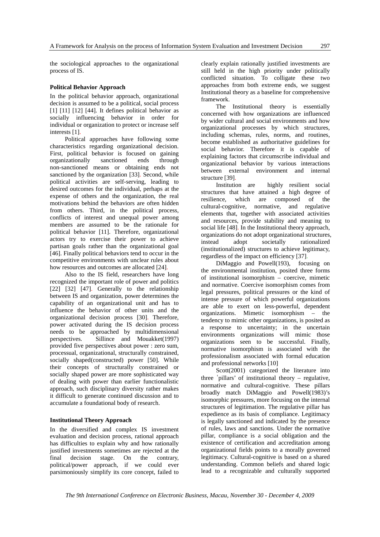the sociological approaches to the organizational process of IS.

#### **Political Behavior Approach**

In the political behavior approach, organizational decision is assumed to be a political, social process  $[1]$   $[11]$   $[12]$   $[44]$ . It defines political behavior as socially influencing behavior in order for individual or organization to protect or increase self interests [1].

Political approaches have following some characteristics regarding organizational decision. First, political behavior is focused on gaining organizationally sanctioned ends through non-sanctioned means or obtaining ends not sanctioned by the organization [33]. Second, while political activities are self-serving, leading to desired outcomes for the individual, perhaps at the expense of others and the organization, the real motivations behind the behaviors are often hidden from others. Third, in the political process, conflicts of interest and unequal power among members are assumed to be the rationale for political behavior [11]. Therefore, organizational actors try to exercise their power to achieve partisan goals rather than the organizational goal [46]. Finally political behaviors tend to occur in the competitive environments with unclear rules about how resources and outcomes are allocated [24].

Also to the IS field, researchers have long recognized the important role of power and politics [22] [32] [47]. Generally to the relationship between IS and organization, power determines the capability of an organizational unit and has to influence the behavior of other units and the organizational decision process [30]. Therefore, power activated during the IS decision process needs to be approached by multidimensional perspectives. Sillince and Mouakket(1997) provided five perspectives about power : zero sum, processual, organizational, structurally constrained, socially shaped(constructed) power [50]. While their concepts of structurally constrained or socially shaped power are more sophisticated way of dealing with power than earlier functionalistic approach, such disciplinary diversity rather makes it difficult to generate continued discussion and to accumulate a foundational body of research.

#### **Institutional Theory Approach**

In the diversified and complex IS investment evaluation and decision process, rational approach has difficulties to explain why and how rationally justified investments sometimes are rejected at the final decision stage. On the contrary, political/power approach, if we could ever parsimoniously simplify its core concept, failed to

clearly explain rationally justified investments are still held in the high priority under politically conflicted situation. To colligate these two approaches from both extreme ends, we suggest Institutional theory as a baseline for comprehensive framework.

The Institutional theory is essentially concerned with how organizations are influenced by wider cultural and social environments and how organizational processes by which structures, including schemas, rules, norms, and routines, become established as authoritative guidelines for social behavior. Therefore it is capable of explaining factors that circumscribe individual and organizational behavior by various interactions between external environment and internal structure [39].

Institution are highly resilient social structures that have attained a high degree of resilience, which are composed of the cultural-cognitive, normative, and regulative elements that, together with associated activities and resources, provide stability and meaning to social life [48]. In the Institutional theory approach, organizations do not adopt organizational structures, instead adopt societally rationalized (institutionalized) structures to achieve legitimacy, regardless of the impact on efficiency [37].

DiMaggio and Powell(193), focusing on the environmental institution, posited three forms of institutional isomorphism – coercive, mimetic and normative. Coercive isomorphism comes from legal pressures, political pressures or the kind of intense pressure of which powerful organizations are able to exert on less-powerful, dependent organizations. Mimetic isomorphism – the tendency to mimic other organizations, is posited as a response to uncertainty; in the uncertain environments organizations will mimic those organizations seen to be successful. Finally, normative isomorphism is associated with the professionalism associated with formal education and professional networks [10]

Scott(2001) categorized the literature into three 'pillars' of institutional theory – regulative, normative and cultural-cognitive. These pillars broadly match DiMaggio and Powell(1983)'s isomorphic pressures, more focusing on the internal structures of legitimation. The regulative pillar has expedience as its basis of compliance. Legitimacy is legally sanctioned and indicated by the presence of rules, laws and sanctions. Under the normative pillar, compliance is a social obligation and the existence of certification and accreditation among organizational fields points to a morally governed legitimacy. Cultural-cognitive is based on a shared understanding. Common beliefs and shared logic lead to a recognizable and culturally supported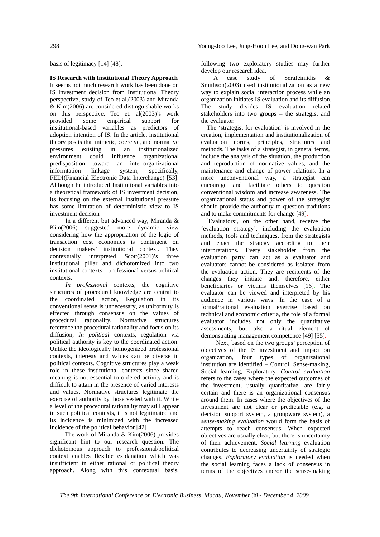basis of legitimacy [14] [48].

#### **IS Research with Institutional Theory Approach**

It seems not much research work has been done on IS investment decision from Institutional Theory perspective, study of Teo et al.(2003) and Miranda & Kim(2006) are considered distinguishable works on this perspective. Teo et. al(2003)'s work provided some empirical support for institutional-based variables as predictors of adoption intention of IS. In the article, institutional theory posits that mimetic, coercive, and normative pressures existing in an institutionalized environment could influence organizational predisposition toward an inter-organizational informtation linkage system, specifically, FEDI(Financial Electronic Data Interchange) [53]. Although he introduced Institutional variables into a theoretical framework of IS investment decision, its focusing on the external institutional pressure has some limitation of deterministic view to IS investment decision

In a different but advanced way, Miranda & Kim(2006) suggested more dynamic view considering how the appropriation of the logic of transaction cost economics is contingent on decision makers' institutional context. They contextually interpreted Scott(2001)'s three institutional pillar and dichotomized into two institutional contexts - professional versus political contexts.

*In professional* contexts, the cognitive structures of procedural knowledge are central to the coordinated action, Regulation in its conventional sense is unnecessary, as uniformity is effected through consensus on the values of procedural rationality, Normative structures reference the procedural rationality and focus on its diffusion, *In political* contexts, regulation via political authority is key to the coordinated action. Unlike the ideologically homogenized professional contexts, interests and values can be diverse in political contexts. Cognitive structures play a weak role in these institutional contexts since shared meaning is not essential to ordered activity and is difficult to attain in the presence of varied interests and values. Normative structures legitimate the exercise of authority by those vested with it. While a level of the procedural rationality may still appear in such political contexts, it is not legitimated and its incidence is minimized with the increased incidence of the political behavior [42]

The work of Miranda & Kim(2006) provides significant hint to our research question. The dichotomous approach to professional/political context enables flexible explanation which was insufficient in either rational or political theory approach. Along with this contextual basis,

following two exploratory studies may further

develop our research idea.<br>A case study of A case study of Serafeimidis & Smithson(2003) used institutionalization as a new way to explain social interaction process while an organization initiates IS evaluation and its diffusion. The study divides IS evaluation related stakeholders into two groups – the strategist and the evaluator.

The 'strategist for evaluation' is involved in the creation, implementation and institutionalization of evaluation norms, principles, structures and methods. The tasks of a strategist, in general terms, include the analysis of the situation, the production and reproduction of normative values, and the maintenance and change of power relations. In a more unconventional way, a strategist can encourage and facilitate others to question conventional wisdom and increase awareness. The organizational status and power of the strategist should provide the authority to question traditions and to make commitments for change [49].

'Evaluators', on the other hand, receive the 'evaluation strategy', including the evaluation methods, tools and techniques, from the strategists and enact the strategy according to their interpretations. Every stakeholder from the evaluation party can act as a evaluator and evaluators cannot be considered as isolated from the evaluation action. They are recipients of the changes they initiate and, therefore, either beneficiaries or victims themselves [16]. The evaluator can be viewed and interpreted by his audience in various ways. In the case of a formal/rational evaluation exercise based on technical and economic criteria, the role of a formal evaluator includes not only the quantitative assessments, but also a ritual element of demonstrating management competence [49] [55].

Next, based on the two groups' perception of objectives of the IS investment and impact on organization, four types of organizational institution are identified – Control, Sense-making, Social learning, Exploratory. *Control evaluation* refers to the cases where the expected outcomes of the investment, usually quantitative, are fairly certain and there is an organizational consensus around them. In cases where the objectives of the investment are not clear or predictable (e.g. a decision support system, a groupware system), a *sense-making evaluation* would form the basis of attempts to reach consensus. When expected objectives are usually clear, but there is uncertainty of their achievement, *Social learning* evaluation contributes to decreasing uncertainty of strategic changes. *Exploratory evaluation* is needed when the social learning faces a lack of consensus in terms of the objectives and/or the sense-making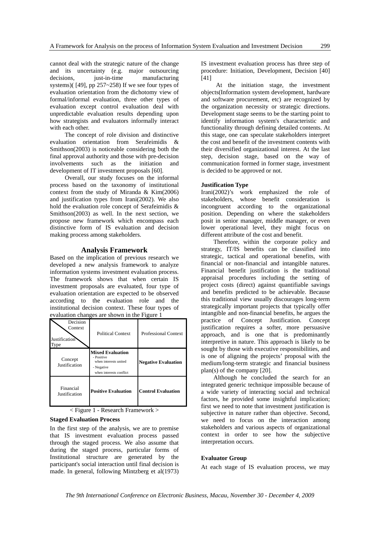cannot deal with the strategic nature of the change and its uncertainty (e.g. major outsourcing decisions, just-in-time manufacturing systems)( [49], pp 257~258) If we see four types of evaluation orientation from the dichotomy view of formal/informal evaluation, three other types of evaluation except control evaluation deal with unpredictable evaluation results depending upon how strategists and evaluators informally interact with each other.

The concept of role division and distinctive evaluation orientation from Serafeimidis & Smithson(2003) is noticeable considering both the final approval authority and those with pre-decision involvements such as the initiation and development of IT investment proposals [60].

Overall, our study focuses on the informal process based on the taxonomy of institutional context from the study of Miranda & Kim(2006) and justification types from Irani(2002). We also hold the evaluation role concept of Serafeimidis & Smithson(2003) as well. In the next section, we propose new framework which encompass each distinctive form of IS evaluation and decision making process among stakeholders.

#### **Analysis Framework**

Based on the implication of previous research we developed a new analysis framework to analyze information systems investment evaluation process. The framework shows that when certain IS investment proposals are evaluated, four type of evaluation orientation are expected to be observed according to the evaluation role and the institutional decision context. These four types of evaluation changes are shown in the Figure 1

| Decision<br>Context<br>Justification<br>l ype | <b>Political Context</b>                                                                                | <b>Professional Context</b> |
|-----------------------------------------------|---------------------------------------------------------------------------------------------------------|-----------------------------|
| Concept<br>Justification                      | <b>Mixed Evaluation</b><br>- Positive<br>when interests united<br>- Negative<br>when interests conflict | <b>Negative Evaluation</b>  |
| Financial<br>Justification                    | <b>Positive Evaluation</b>                                                                              | <b>Control Evaluation</b>   |

< Figure 1 - Research Framework >

#### **Staged Evaluation Process**

In the first step of the analysis, we are to premise that IS investment evaluation process passed through the staged process. We also assume that during the staged process, particular forms of Institutional structure are generated by the participant's social interaction until final decision is made. In general, following Mintzberg et al(1973) IS investment evaluation process has three step of procedure: Initiation, Development, Decision [40] [41]

At the initiation stage, the investment objects(Information system development, hardware and software procurement, etc) are recognized by the organization necessity or strategic directions. Development stage seems to be the starting point to identify information system's characteristic and functionality through defining detailed contents. At this stage, one can speculate stakeholders interpret the cost and benefit of the investment contents with their diversified organizational interest. At the last step, decision stage, based on the way of communication formed in former stage, investment is decided to be approved or not.

#### **Justification Type**

Irani(2002)'s work emphasized the role of stakeholders, whose benefit consideration is incongruent according to the organizational position. Depending on where the stakeholders posit in senior manager, middle manager, or even lower operational level, they might focus on different attribute of the cost and benefit.

Therefore, within the corporate policy and strategy, IT/IS benefits can be classified into strategic, tactical and operational benefits, with financial or non-financial and intangible natures. Financial benefit justification is the traditional appraisal procedures including the setting of project costs (direct) against quantifiable savings and benefits predicted to be achievable. Because this traditional view usually discourages long-term strategically important projects that typically offer intangible and non-financial benefits, he argues the practice of Concept Justification. Concept justification requires a softer, more persuasive approach, and is one that is predominantly interpretive in nature. This approach is likely to be sought by those with executive responsibilities, and is one of aligning the projects' proposal with the medium/long-term strategic and financial business plan(s) of the company [20].

Although he concluded the search for an integrated generic technique impossible because of a wide variety of interacting social and technical factors, he provided some insightful implication; first we need to note that investment justification is subjective in nature rather than objective. Second, we need to focus on the interaction among stakeholders and various aspects of organizational context in order to see how the subjective interpretation occurs.

#### **Evaluator Group**

At each stage of IS evaluation process, we may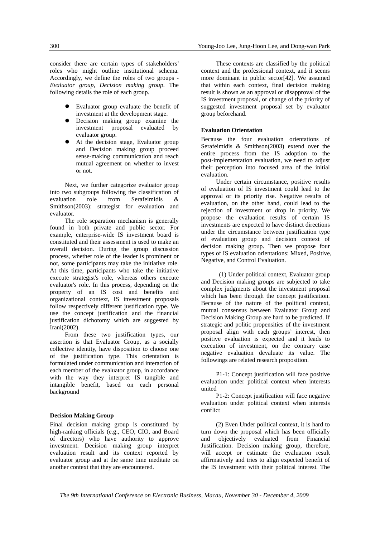consider there are certain types of stakeholders' roles who might outline institutional schema. Accordingly, we define the roles of two groups - *Evaluator group, Decision making group*. The following details the role of each group.

- Evaluator group evaluate the benefit of investment at the development stage.
- Decision making group examine the investment proposal evaluated by evaluator group.
- At the decision stage, Evaluator group and Decision making group proceed sense-making communication and reach mutual agreement on whether to invest or not.

Next, we further categorize evaluator group into two subgroups following the classification of evaluation role from Serafeimidis & Smithson(2003): strategist for evaluation and evaluator.

The role separation mechanism is generally found in both private and public sector. For example, enterprise-wide IS investment board is constituted and their assessment is used to make an overall decision. During the group discussion process, whether role of the leader is prominent or not, some participants may take the initiative role. At this time, participants who take the initiative execute strategist's role, whereas others execute evaluator's role. In this process, depending on the property of an IS cost and benefits and organizational context, IS investment proposals follow respectively different justification type. We use the concept justification and the financial justification dichotomy which are suggested by Irani(2002).

From these two justification types, our assertion is that Evaluator Group, as a socially collective identity, have disposition to choose one of the justification type. This orientation is formulated under communication and interaction of each member of the evaluator group, in accordance with the way they interpret IS tangible and intangible benefit, based on each personal background

#### **Decision Making Group**

Final decision making group is constituted by high-ranking officials (e.g., CEO, CIO, and Board of directors) who have authority to approve investment. Decision making group interpret evaluation result and its context reported by evaluator group and at the same time meditate on another context that they are encountered.

These contexts are classified by the political context and the professional context, and it seems more dominant in public sector[42]. We assumed that within each context, final decision making result is shown as an approval or disapproval of the IS investment proposal, or change of the priority of suggested investment proposal set by evaluator group beforehand.

#### **Evaluation Orientation**

Because the four evaluation orientations of Serafeimidis & Smithson(2003) extend over the entire process from the IS adoption to the post-implementation evaluation, we need to adjust their perception into focused area of the initial evaluation.

Under certain circumstance, positive results of evaluation of IS investment could lead to the approval or its priority rise. Negative results of evaluation, on the other hand, could lead to the rejection of investment or drop in priority. We propose the evaluation results of certain IS investments are expected to have distinct directions under the circumstance between justification type of evaluation group and decision context of decision making group. Then we propose four types of IS evaluation orientations: Mixed, Positive, Negative, and Control Evaluation.

 (1) Under political context, Evaluator group and Decision making groups are subjected to take complex judgments about the investment proposal which has been through the concept justification. Because of the nature of the political context, mutual consensus between Evaluator Group and Decision Making Group are hard to be predicted. If strategic and politic propensities of the investment proposal align with each groups' interest, then positive evaluation is expected and it leads to execution of investment, on the contrary case negative evaluation devaluate its value. The followings are related research proposition.

P1-1: Concept justification will face positive evaluation under political context when interests united

P1-2: Concept justification will face negative evaluation under political context when interests conflict

(2) Even Under political context, it is hard to turn down the proposal which has been officially and objectively evaluated from Financial Justification. Decision making group, therefore, will accept or estimate the evaluation result affirmatively and tries to align expected benefit of the IS investment with their political interest. The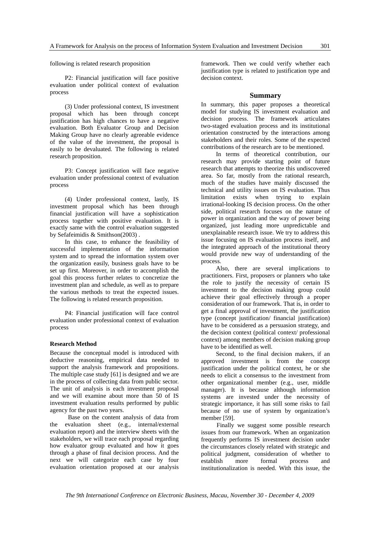following is related research proposition

P2: Financial justification will face positive evaluation under political context of evaluation process

(3) Under professional context, IS investment proposal which has been through concept justification has high chances to have a negative evaluation. Both Evaluator Group and Decision Making Group have no clearly agreeable evidence of the value of the investment, the proposal is easily to be devaluated. The following is related research proposition.

P3: Concept justification will face negative evaluation under professional context of evaluation process

(4) Under professional context, lastly, IS investment proposal which has been through financial justification will have a sophistication process together with positive evaluation. It is exactly same with the control evaluation suggested by Sefafeimidis & Smithson(2003) .

In this case, to enhance the feasibility of successful implementation of the information system and to spread the information system over the organization easily, business goals have to be set up first. Moreover, in order to accomplish the goal this process further relates to concretize the investment plan and schedule, as well as to prepare the various methods to treat the expected issues. The following is related research proposition.

P4: Financial justification will face control evaluation under professional context of evaluation process

#### **Research Method**

Because the conceptual model is introduced with deductive reasoning, empirical data needed to support the analysis framework and propositions. The multiple case study [61] is designed and we are in the process of collecting data from public sector. The unit of analysis is each investment proposal and we will examine about more than 50 of IS investment evaluation results performed by public agency for the past two years.

 Base on the content analysis of data from the evaluation sheet (e.g., internal/external evaluation report) and the interview sheets with the stakeholders, we will trace each proposal regarding how evaluator group evaluated and how it goes through a phase of final decision process. And the next we will categorize each case by four evaluation orientation proposed at our analysis

framework. Then we could verify whether each justification type is related to justification type and decision context.

#### **Summary**

In summary, this paper proposes a theoretical model for studying IS investment evaluation and decision process. The framework articulates two-staged evaluation process and its institutional orientation constructed by the interactions among stakeholders and their roles. Some of the expected contributions of the research are to be mentioned.

In terms of theoretical contribution, our research may provide starting point of future research that attempts to theorize this undiscovered area. So far, mostly from the rational research, much of the studies have mainly discussed the technical and utility issues on IS evaluation. Thus limitation exists when trying to explain irrational-looking IS decision process. On the other side, political research focuses on the nature of power in organization and the way of power being organized, just leading more unpredictable and unexplainable research issue. We try to address this issue focusing on IS evaluation process itself, and the integrated approach of the institutional theory would provide new way of understanding of the process.

Also, there are several implications to practitioners. First, proposers or planners who take the role to justify the necessity of certain IS investment to the decision making group could achieve their goal effectively through a proper consideration of our framework. That is, in order to get a final approval of investment, the justification type (concept justification/ financial justification) have to be considered as a persuasion strategy, and the decision context (political context/ professional context) among members of decision making group have to be identified as well.

Second, to the final decision makers, if an approved investment is from the concept justification under the political context, he or she needs to elicit a consensus to the investment from other organizational member (e.g., user, middle manager). It is because although information systems are invested under the necessity of strategic importance, it has still some risks to fail because of no use of system by organization's member [59].

 Finally we suggest some possible research issues from our framework. When an organization frequently performs IS investment decision under the circumstances closely related with strategic and political judgment, consideration of whether to establish more formal process and institutionalization is needed. With this issue, the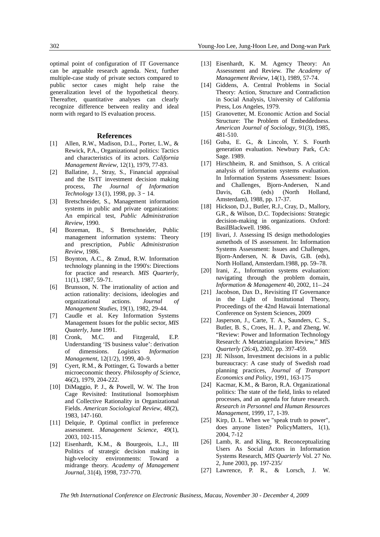optimal point of configuration of IT Governance can be arguable research agenda. Next, further multiple-case study of private sectors compared to public sector cases might help raise the generalization level of the hypothetical theory. Thereafter, quantitative analyses can clearly recognize difference between reality and ideal norm with regard to IS evaluation process.

#### **References**

- [1] Allen, R.W., Madison, D.L., Porter, L.W., & Rewick, P.A., Organizational politics: Tactics and characteristics of its actors. *California Management Review*, 12(1), 1979, 77-83.
- [2] Ballatine, J., Stray, S., Financial appraisal and the IS/IT investment decision making process, *The Journal of Information Technology* 13 (1), 1998, pp. 3–14.
- [3] Bretschneider, S., Management information systems in public and private organizations: An empirical test, *Public Administration Review*, 1990.
- [4] Bozeman, B., S Bretschneider, Public management information systems: Theory and prescription, *Public Administration Review*, 1986.
- [5] Boynton, A.C., & Zmud, R.W. Information technology planning in the 1990's: Directions for practice and research. *MIS Quarterly*, 11(1), 1987, 59-71.
- [6] Brunsson, N. The irrationality of action and action rationality: decisions, ideologies and organizational actions. *Journal of Management Studies*, 19(1), 1982, 29-44.
- [7] Caudle et al. Key Information Systems Management Issues for the public sector, *MIS Quaterly*, June 1991.
- [8] Cronk, M.C. and Fitzgerald, E.P. Understanding 'IS business value': derivation of dimensions. *Logistics Information Management*, 12(1/2), 1999, 40–9.
- [9] Cyert, R.M., & Pottinger, G. Towards a better microeconomic theory. *Philosophy of Science*, 46(2), 1979, 204-222.
- [10] DiMaggio, P. J., & Powell, W. W. The Iron Cage Revisited: Institutional Isomorphism and Collective Rationality in Organizational Fields. *American Sociological Review*, 48(2), 1983, 147-160.
- [11] Delquie, P. Optimal conflict in preference assessment. *Management Science*, 49(1), 2003, 102-115.
- [12] Eisenhardt, K.M., & Bourgeois, L.J., III Politics of strategic decision making in high-velocity environments: Toward a midrange theory. *Academy of Management Journal*, 31(4), 1998, 737-770.
- [13] Eisenhardt, K. M. Agency Theory: An Assessment and Review. *The Academy of Management Review*, 14(1), 1989, 57-74.
- [14] Giddens, A. Central Problems in Social Theory: Action, Structure and Contradiction in Social Analysis, University of California Press, Los Angeles, 1979.
- [15] Granovetter, M. Economic Action and Social Structure: The Problem of Embeddedness. *American Journal of Sociology*, 91(3), 1985, 481-510.
- [16] Guba, E. G., & Lincoln, Y. S. Fourth generation evaluation. Newbury Park, CA: Sage. 1989.
- [17] Hirschheim, R. and Smithson, S. A critical analysis of information systems evaluation. In Information Systems Assessment: Issues and Challenges, Bjorn-Andersen, N.and Davis, G.B. (eds) (North Holland, Amsterdam), 1988, pp. 17-37.
- [18] Hickson, D.J., Butler, R.J., Cray, D., Mallory, G.R., & Wilson, D.C. Topdecisions: Strategic decision-making in organizations. Oxford: BasilBlackwell. 1986.
- [19] Iivari, J. Assessing IS design methodologies asmethods of IS assessment. In: Information Systems Assessment: Issues and Challenges, Bjorn-Andersen, N. & Davis, G.B. (eds), North Holland, Amsterdam.1988, pp. 59–78.
- [20] Irani, Z., Information systems evaluation: navigating through the problem domain, *Information & Management* 40, 2002, 11–.24
- [21] Jacobson, Dax D., Revisiting IT Governance in the Light of Institutional Theory, Proceedings of the 42nd Hawaii International Conference on System Sciences, 2009
- [22] Jasperson, J., Carte, T. A., Saunders, C. S., Butler, B. S., Croes, H.. J. P., and Zheng, W. "Review: Power and Information Technology Research: A Metatriangulation Review," *MIS Quarterly* (26:4), 2002, pp. 397-459.
- [23] JE Nilsson, Investment decisions in a public bureaucracy: A case study of Swedish road planning practices, *Journal of Transport Economics and Policy*, 1991, 163-175
- [24] Kacmar, K.M., & Baron, R.A. Organizational politics: The state of the field, links to related processes, and an agenda for future research. *Research in Personnel and Human Resources Management*, 1999, 17, 1-39.
- [25] Kirp, D. L. When we "speak truth to power", does anyone listen? PolicyMatters, 1(1), 2004, 7-12
- [26] Lamb, R. and Kling, R. Reconceptualizing Users As Social Actors in Information Systems Research, *MIS Quarterly* Vol. 27 No. 2, June 2003, pp. 197-235/
- [27] Lawrence, P. R., & Lorsch, J. W.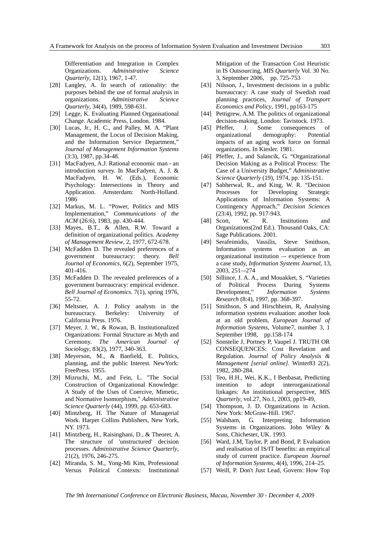Differentiation and Integration in Complex Organizations. *Administrative Science Quarterly*, 12(1), 1967, 1-47.

- [28] Langley, A. In search of rationality: the purposes behind the use of formal analysis in organizations. *Administrative Science Quarterly*, 34(4), 1989, 598-631.
- [29] Legge, K. Evaluating Planned Organisational Change. Academic Press, London. 1984.
- [30] Lucas, Jr., H. C., and Palley, M. A. "Plant Management, the Locus of Decision Making, and the Information Service Department," *Journal of Management Information Systems* (3:3), 1987, pp.34-48.
- [31] MacFadyen, A.J. Rational economic man an introduction survey. In MacFadyen, A. J. & MacFadyen, H. W. (Eds.), Economic Psychology: Intersections in Theory and Application. Amsterdam: North-Holland. 1986
- [32] Markus, M. L. "Power, Politics and MIS Implementation," *Communications of the ACM* (26:6), 1983, pp. 430-444.
- [33] Mayes, B.T., & Allen, R.W. Toward a definition of organizational politics. *Academy of Management Review*, 2, 1977, 672-678.
- [34] McFadden D. The revealed preferences of a government bureaucracy: theory. *Bell Journal of Economics*, 6(2), September 1975, 401-416.
- [35] McFadden D. The revealed preferences of a government bureaucracy: empirical evidence. *Bell Journal of Economics*. 7(1), spring 1976, 55-72.
- [36] Meltsner, A. J. Policy analysts in the bureaucracy. Berkeley: University of California Press. 1976.
- [37] Meyer, J. W., & Rowan, B. Institutionalized Organizations: Formal Structure as Myth and Ceremony. *The American Journal of Sociology*, 83(2), 1977, 340-363.
- [38] Meyerson, M., & Banfield, E. Politics, planning, and the public Interest. NewYork: FreePress. 1955.
- [39] Mizruchi, M., and Fein, L. "The Social Construction of Organizational Knowledge: A Study of the Uses of Coercive, Mimetic, and Normative Isomorphism," *Administrative Science Quarterly* (44), 1999, pp. 653-683.
- [40] Mintzberg, H. The Nature of Managerial Work. Harper Collins Publishers, New York, NY. 1973.
- [41] Mintzberg, H., Raisinghani, D., & Theoret, A. The structure of 'unstructured' decision processes. *Administrative Science Quarterly*, 21(2), 1976, 246-275.
- [42] Miranda, S. M., Yong-Mi Kim, Professional Versus Political Contexts: Institutional

Mitigation of the Transaction Cost Heuristic in IS Outsourcing, *MIS Quarterly* Vol. 30 No. 3, September 2006, pp. 725-753

- [43] Nilsson, J., Investment decisions in a public bureaucracy: A case study of Swedish road planning practices, *Journal of Transport Economics and Policy*, 1991, pp163-175
- [44] Pettigrew, A.M. The politics of organizational decision-making. London: Tavistock. 1973.
- [45] Pfeffer, J. Some consequences of organizational demography: Potential impacts of an aging work force on formal organizations. In Kiesler. 1981.
- [46] Pfeffer, J., and Salancik, G. "Organizational Decision Making as a Political Process: The Case of a University Budget," *Administrative Science Quarterly* (19), 1974, pp. 135-151.
- [47] Sabherwal, R., and King, W. R. "Decision Processes for Developing Strategic Applications of Information Systems: A Contingency Approach," *Decision Sciences* (23:4), 1992, pp. 917-943.
- [48] Scott, W. R. Institutions and Organizations(2nd Ed.). Thousand Oaks, CA: Sage Publications. 2001.
- [49] Serafeimidis, Vassilis, Steve Smithson, Information systems evaluation as an organizational institution –- experience from a case study, *Information Systems Journal*, 13, 2003, 251–-274
- [50] Sillince, J. A. A., and Mouakket, S. "Varieties of Political Process During Systems Development," *Information Systems Research* (8:4), 1997, pp. 368-397.
- [51] Smithson, S and Hirschheim, R, Analysing information systems evaluation: another look at an old problem, *European Journal of Information Systems*, Volume7, number 3, 1 September 1998, pp.158-174
- [52] Sonstelie J, Portney P, Vaupel J. TRUTH OR CONSEQUENCES: Cost Revelation and Regulation. *Journal of Policy Analysis & Management [serial online].* Winter83 2(2), 1982, 280-284.
- [53] Teo, H.H., Wei, K.K., I Benbasat, Predicting intention to adopt interorganizational linkages: An institutional perspective, *MIS Quarterly*, vol.27, No.1, 2003, pp19-49,
- [54] Thompson, J. D. Organizations in Action. New York: McGraw-Hill. 1967.
- [55] Walsham, G. Interpreting Information Systems in Organizations. John Wiley & Sons, Chichester, UK. 1993.
- [56] Ward, J.M, Taylor, P. and Bond, P. Evaluation and realisation of IS/IT benefits: an empirical study of current practice. *European Journal of Information Systems*, 4(4), 1996, 214–25.
- [57] Weill, P. Don't Just Lead, Govern: How Top